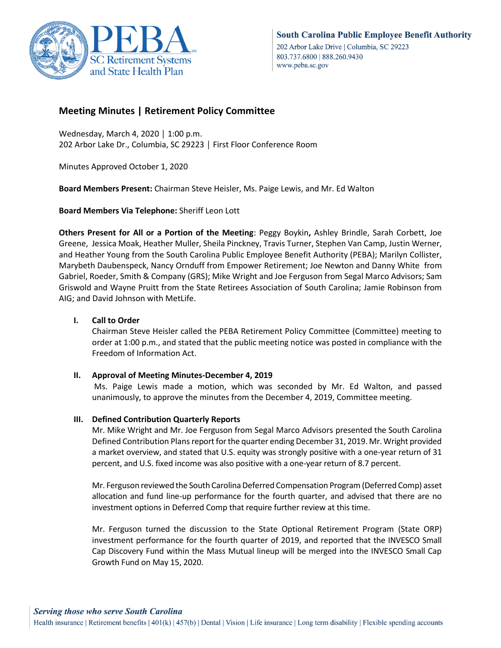

# **Meeting Minutes | Retirement Policy Committee**

Wednesday, March 4, 2020 │ 1:00 p.m. 202 Arbor Lake Dr., Columbia, SC 29223 │ First Floor Conference Room

Minutes Approved October 1, 2020

**Board Members Present:** Chairman Steve Heisler, Ms. Paige Lewis, and Mr. Ed Walton

**Board Members Via Telephone:** Sheriff Leon Lott

**Others Present for All or a Portion of the Meeting**: Peggy Boykin**,** Ashley Brindle, Sarah Corbett, Joe Greene, Jessica Moak, Heather Muller, Sheila Pinckney, Travis Turner, Stephen Van Camp, Justin Werner, and Heather Young from the South Carolina Public Employee Benefit Authority (PEBA); Marilyn Collister, Marybeth Daubenspeck, Nancy Ornduff from Empower Retirement; Joe Newton and Danny White from Gabriel, Roeder, Smith & Company (GRS); Mike Wright and Joe Ferguson from Segal Marco Advisors; Sam Griswold and Wayne Pruitt from the State Retirees Association of South Carolina; Jamie Robinson from AIG; and David Johnson with MetLife.

# **I. Call to Order**

Chairman Steve Heisler called the PEBA Retirement Policy Committee (Committee) meeting to order at 1:00 p.m., and stated that the public meeting notice was posted in compliance with the Freedom of Information Act.

# **II. Approval of Meeting Minutes-December 4, 2019**

Ms. Paige Lewis made a motion, which was seconded by Mr. Ed Walton, and passed unanimously, to approve the minutes from the December 4, 2019, Committee meeting.

# **III. Defined Contribution Quarterly Reports**

Mr. Mike Wright and Mr. Joe Ferguson from Segal Marco Advisors presented the South Carolina Defined Contribution Plans report for the quarter ending December 31, 2019. Mr. Wright provided a market overview, and stated that U.S. equity was strongly positive with a one-year return of 31 percent, and U.S. fixed income was also positive with a one-year return of 8.7 percent.

Mr. Ferguson reviewed the South Carolina Deferred Compensation Program (Deferred Comp) asset allocation and fund line-up performance for the fourth quarter, and advised that there are no investment options in Deferred Comp that require further review at this time.

Mr. Ferguson turned the discussion to the State Optional Retirement Program (State ORP) investment performance for the fourth quarter of 2019, and reported that the INVESCO Small Cap Discovery Fund within the Mass Mutual lineup will be merged into the INVESCO Small Cap Growth Fund on May 15, 2020.